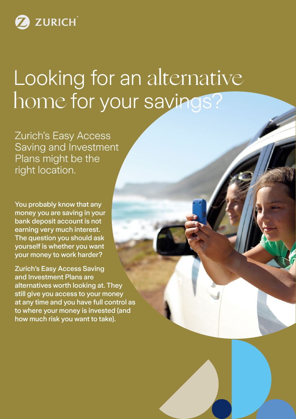

# Looking for an alternative home for your savings?

Zurich's Easy Access Saving and Investment Plans might be the right location.

You probably know that any money you are saving in your bank deposit account is not earning very much interest. The question you should ask yourself is whether you want your money to work harder?

Zurich's Easy Access Saving and Investment Plans are alternatives worth looking at. They still give you access to your money at any time and you have full control as to where your money is invested (and how much risk you want to take).